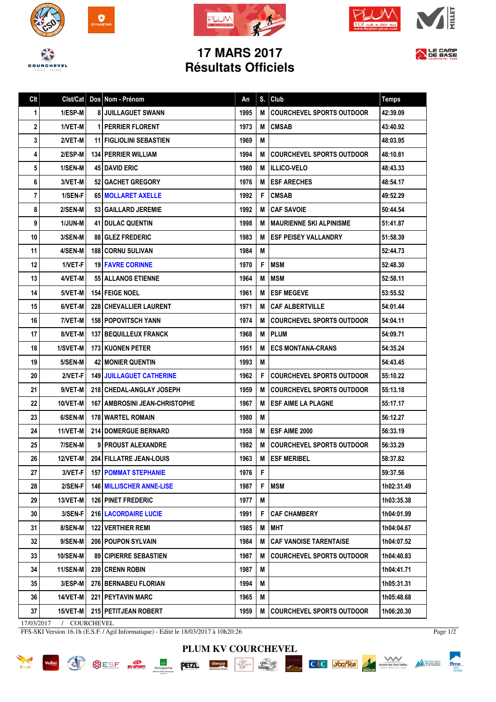







## **17 MARS 2017 Résultats Officiels**



| Clt | Clst/Cat        | Dos Nom - Prénom                       | An   | S. | Club                             | <b>Temps</b> |
|-----|-----------------|----------------------------------------|------|----|----------------------------------|--------------|
| 1   | 1/ESP-M         | <b>8 JUILLAGUET SWANN</b>              | 1995 | M  | <b>COURCHEVEL SPORTS OUTDOOR</b> | 42:39.09     |
| 2   | 1/VET-M         | <b>1 PERRIER FLORENT</b>               | 1973 | M  | <b>CMSAB</b>                     | 43:40.92     |
| 3   | 2/VET-M         | <b>11 FIGLIOLINI SEBASTIEN</b>         | 1969 | M  |                                  | 48:03.95     |
| 4   | 2/ESP-M         | <b>134   PERRIER WILLIAM</b>           | 1994 | M  | <b>COURCHEVEL SPORTS OUTDOOR</b> | 48:10.81     |
| 5   | 1/SEN-M         | <b>45 I DAVID ERIC</b>                 | 1980 | M  | <b>ILLICO-VELO</b>               | 48:43.33     |
| 6   | 3/VET-M         | 52 GACHET GREGORY                      | 1976 | M  | <b>ESF ARECHES</b>               | 48:54.17     |
| 7   | 1/SEN-F         | 65   MOLLARET AXELLE                   | 1992 | F  | <b>CMSAB</b>                     | 49:52.29     |
| 8   | 2/SEN-M         | 53 GAILLARD JEREMIE                    | 1992 | M  | <b>CAF SAVOIE</b>                | 50:44.54     |
| 9   | 1/JUN-M         | <b>41   DULAC QUENTIN</b>              | 1998 | М  | <b>MAURIENNE SKI ALPINISME</b>   | 51:41.87     |
| 10  | 3/SEN-M         | <b>88 GLEZ FREDERIC</b>                | 1983 | M  | <b>ESF PEISEY VALLANDRY</b>      | 51:58.39     |
| 11  | 4/SEN-M         | <b>188 CORNU SULIVAN</b>               | 1984 | M  |                                  | 52:44.73     |
| 12  | 1/VET-F         | <b>19 FAVRE CORINNE</b>                | 1970 | F  | <b>MSM</b>                       | 52:48.30     |
| 13  | 4/VET-M         | <b>55 ALLANOS ETIENNE</b>              | 1964 | M  | <b>MSM</b>                       | 52:58.11     |
| 14  | 5/VET-M         | <b>154   FEIGE NOEL</b>                | 1961 | M  | <b>ESF MEGEVE</b>                | 53:55.52     |
| 15  | 6/VET-M         | <b>228 CHEVALLIER LAURENT</b>          | 1971 | M  | <b>CAF ALBERTVILLE</b>           | 54:01.44     |
| 16  | 7/VET-M         | <b>158 POPOVITSCH YANN</b>             | 1974 | M  | <b>COURCHEVEL SPORTS OUTDOOR</b> | 54:04.11     |
| 17  | 8/VET-M         | <b>137   BEQUILLEUX FRANCK</b>         | 1968 | M  | <b>PLUM</b>                      | 54:09.71     |
| 18  | 1/SVET-M        | <b>173 KUONEN PETER</b>                | 1951 | M  | <b>ECS MONTANA-CRANS</b>         | 54:35.24     |
| 19  | 5/SEN-M         | <b>42   MONIER QUENTIN</b>             | 1993 | M  |                                  | 54:43.45     |
| 20  | 2/VET-F         | <b>149 JUILLAGUET CATHERINE</b>        | 1962 | F. | <b>COURCHEVEL SPORTS OUTDOOR</b> | 55:10.22     |
| 21  | 9/VET-M         | 218 CHEDAL-ANGLAY JOSEPH               | 1959 | M  | <b>COURCHEVEL SPORTS OUTDOOR</b> | 55:13.18     |
| 22  | 10/VET-M        | <b>167   AMBROSINI JEAN-CHRISTOPHE</b> | 1967 | М  | <b>ESF AIME LA PLAGNE</b>        | 55:17.17     |
| 23  | 6/SEN-M         | <b>178 WARTEL ROMAIN</b>               | 1980 | М  |                                  | 56:12.27     |
| 24  | 11/VET-M        | <b>214 DOMERGUE BERNARD</b>            | 1958 | M  | ESF AIME 2000                    | 56:33.19     |
| 25  | 7/SEN-M         | 9 PROUST ALEXANDRE                     | 1982 | M  | <b>COURCHEVEL SPORTS OUTDOOR</b> | 56:33.29     |
| 26  | 12/VET-M        | 204 FILLATRE JEAN-LOUIS                | 1963 |    | M ESF MERIBEL                    | 58:37.82     |
| 27  | 3/VET-F         | <b>157   POMMAT STEPHANIE</b>          | 1976 | F  |                                  | 59:37.56     |
| 28  | 2/SEN-F         | <b>146   MILLISCHER ANNE-LISE</b>      | 1987 |    | F   MSM                          | 1h02:31.49   |
| 29  | 13/VET-M        | <b>126 PINET FREDERIC</b>              | 1977 | М  |                                  | 1h03:35.38   |
| 30  | 3/SEN-F         | <b>216   LACORDAIRE LUCIE</b>          | 1991 | F  | <b>CAF CHAMBERY</b>              | 1h04:01.99   |
| 31  | 8/SEN-M         | <b>122 VERTHIER REMI</b>               | 1985 | М  | <b>MHT</b>                       | 1h04:04.67   |
| 32  | 9/SEN-M         | <b>206   POUPON SYLVAIN</b>            | 1984 | M  | <b>CAF VANOISE TARENTAISE</b>    | 1h04:07.52   |
| 33  | <b>10/SEN-M</b> | <b>89 CIPIERRE SEBASTIEN</b>           | 1987 | M  | <b>COURCHEVEL SPORTS OUTDOOR</b> | 1h04:40.83   |
| 34  | 11/SEN-M        | <b>239 CRENN ROBIN</b>                 | 1987 | М  |                                  | 1h04:41.71   |
| 35  | 3/ESP-M         | 276   BERNABEU FLORIAN                 | 1994 | М  |                                  | 1h05:31.31   |
|     |                 | <b>221   PEYTAVIN MARC</b>             | 1965 | M  |                                  | 1h05:48.68   |
| 36  | <b>14/VET-M</b> |                                        |      |    |                                  |              |

**PLUM KV COURCHEVEL**

 $\begin{picture}(150,10) \put(0,0){\line(1,0){100}} \put(15,0){\line(1,0){100}} \put(15,0){\line(1,0){100}} \put(15,0){\line(1,0){100}} \put(15,0){\line(1,0){100}} \put(15,0){\line(1,0){100}} \put(15,0){\line(1,0){100}} \put(15,0){\line(1,0){100}} \put(15,0){\line(1,0){100}} \put(15,0){\line(1,0){100}} \put(15,0){\line(1,0){100}}$ 

17/03/2017 / COURCHEVEL

FFS-SKI Version 16.1h (E.S.F. / Agil Informatique) - Edité le 18/03/2017 à 10h20:26





 $f$ <sub>ffme</sub>

Meteration francaise

Société des Trois Vallées